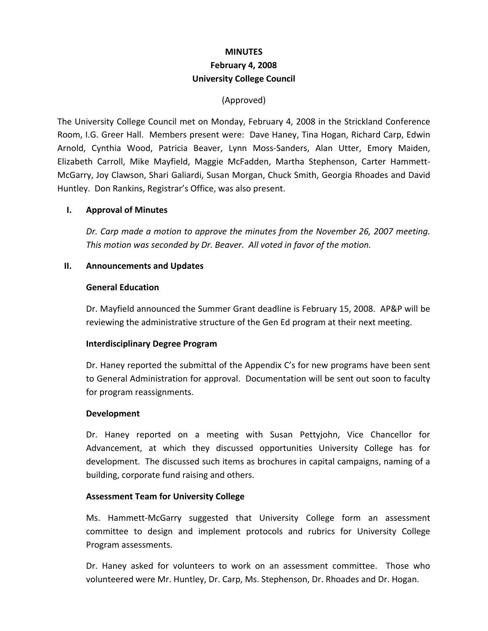# **MINUTES February 4, 2008 University College Council**

# (Approved)

The University College Council met on Monday, February 4, 2008 in the Strickland Conference Room, I.G. Greer Hall. Members present were: Dave Haney, Tina Hogan, Richard Carp, Edwin Arnold, Cynthia Wood, Patricia Beaver, Lynn Moss‐Sanders, Alan Utter, Emory Maiden, Elizabeth Carroll, Mike Mayfield, Maggie McFadden, Martha Stephenson, Carter Hammett‐ McGarry, Joy Clawson, Shari Galiardi, Susan Morgan, Chuck Smith, Georgia Rhoades and David Huntley. Don Rankins, Registrar's Office, was also present.

## **I. Approval of Minutes**

*Dr. Carp made a motion to approve the minutes from the November 26, 2007 meeting. This motion was seconded by Dr. Beaver. All voted in favor of the motion.* 

#### **II. Announcements and Updates**

#### **General Education**

Dr. Mayfield announced the Summer Grant deadline is February 15, 2008. AP&P will be reviewing the administrative structure of the Gen Ed program at their next meeting.

## **Interdisciplinary Degree Program**

Dr. Haney reported the submittal of the Appendix C's for new programs have been sent to General Administration for approval. Documentation will be sent out soon to faculty for program reassignments.

#### **Development**

Dr. Haney reported on a meeting with Susan Pettyjohn, Vice Chancellor for Advancement, at which they discussed opportunities University College has for development. The discussed such items as brochures in capital campaigns, naming of a building, corporate fund raising and others.

## **Assessment Team for University College**

Ms. Hammett‐McGarry suggested that University College form an assessment committee to design and implement protocols and rubrics for University College Program assessments.

Dr. Haney asked for volunteers to work on an assessment committee. Those who volunteered were Mr. Huntley, Dr. Carp, Ms. Stephenson, Dr. Rhoades and Dr. Hogan.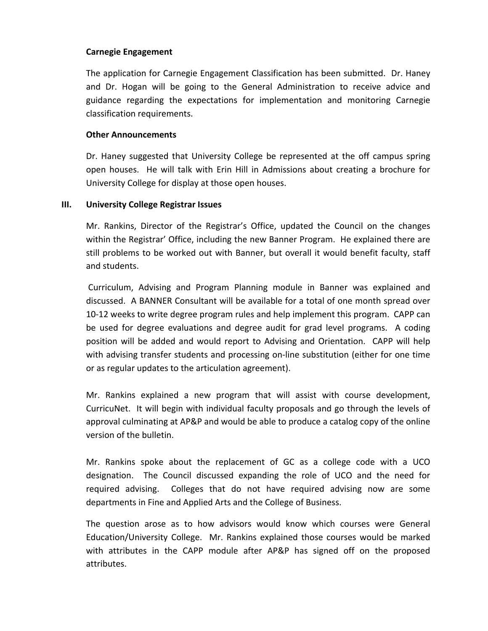# **Carnegie Engagement**

The application for Carnegie Engagement Classification has been submitted. Dr. Haney and Dr. Hogan will be going to the General Administration to receive advice and guidance regarding the expectations for implementation and monitoring Carnegie classification requirements.

#### **Other Announcements**

Dr. Haney suggested that University College be represented at the off campus spring open houses. He will talk with Erin Hill in Admissions about creating a brochure for University College for display at those open houses.

#### **III. University College Registrar Issues**

Mr. Rankins, Director of the Registrar's Office, updated the Council on the changes within the Registrar' Office, including the new Banner Program. He explained there are still problems to be worked out with Banner, but overall it would benefit faculty, staff and students.

Curriculum, Advising and Program Planning module in Banner was explained and discussed. A BANNER Consultant will be available for a total of one month spread over 10‐12 weeks to write degree program rules and help implement this program. CAPP can be used for degree evaluations and degree audit for grad level programs. A coding position will be added and would report to Advising and Orientation. CAPP will help with advising transfer students and processing on-line substitution (either for one time or as regular updates to the articulation agreement).

Mr. Rankins explained a new program that will assist with course development, CurricuNet. It will begin with individual faculty proposals and go through the levels of approval culminating at AP&P and would be able to produce a catalog copy of the online version of the bulletin.

Mr. Rankins spoke about the replacement of GC as a college code with a UCO designation. The Council discussed expanding the role of UCO and the need for required advising. Colleges that do not have required advising now are some departments in Fine and Applied Arts and the College of Business.

The question arose as to how advisors would know which courses were General Education/University College. Mr. Rankins explained those courses would be marked with attributes in the CAPP module after AP&P has signed off on the proposed attributes.